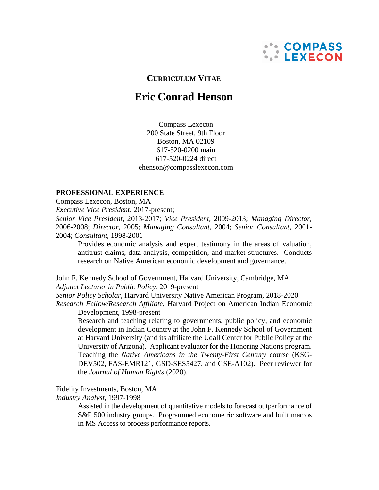

# **CURRICULUM VITAE**

# **Eric Conrad Henson**

Compass Lexecon 200 State Street, 9th Floor Boston, MA 02109 617-520-0200 main 617-520-0224 direct [ehenson@compasslexecon.com](mailto:ehenson@compasslexecon.com)

#### **PROFESSIONAL EXPERIENCE**

Compass Lexecon, Boston, MA

*Executive Vice President*, 2017-present;

*Senior Vice President*, 2013-2017; *Vice President,* 2009-2013; *Managing Director,* 2006-2008; *Director,* 2005; *Managing Consultant,* 2004; *Senior Consultant,* 2001- 2004; *Consultant,* 1998-2001

Provides economic analysis and expert testimony in the areas of valuation, antitrust claims, data analysis, competition, and market structures. Conducts research on Native American economic development and governance.

John F. Kennedy School of Government, Harvard University, Cambridge, MA *Adjunct Lecturer in Public Policy*, 2019-present

*Senior Policy Scholar*, Harvard University Native American Program, 2018-2020

*Research Fellow/Research Affiliate*, Harvard Project on American Indian Economic Development, 1998-present

Research and teaching relating to governments, public policy, and economic development in Indian Country at the John F. Kennedy School of Government at Harvard University (and its affiliate the Udall Center for Public Policy at the University of Arizona). Applicant evaluator for the Honoring Nations program. Teaching the *Native Americans in the Twenty-First Century* course (KSG-DEV502, FAS-EMR121, GSD-SES5427, and GSE-A102). Peer reviewer for the *Journal of Human Rights* (2020).

Fidelity Investments, Boston, MA

*Industry Analyst*, 1997-1998

Assisted in the development of quantitative models to forecast outperformance of S&P 500 industry groups. Programmed econometric software and built macros in MS Access to process performance reports.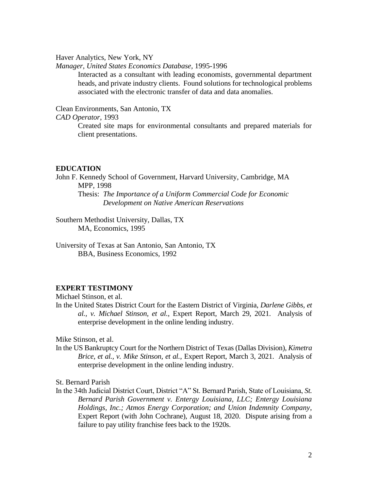Haver Analytics, New York, NY

*Manager, United States Economics Database,* 1995-1996

Interacted as a consultant with leading economists, governmental department heads, and private industry clients. Found solutions for technological problems associated with the electronic transfer of data and data anomalies.

Clean Environments, San Antonio, TX

*CAD Operator*, 1993

Created site maps for environmental consultants and prepared materials for client presentations.

#### **EDUCATION**

John F. Kennedy School of Government, Harvard University, Cambridge, MA MPP, 1998

Thesis: *The Importance of a Uniform Commercial Code for Economic Development on Native American Reservations*

Southern Methodist University, Dallas, TX MA, Economics, 1995

University of Texas at San Antonio, San Antonio, TX BBA, Business Economics, 1992

## **EXPERT TESTIMONY**

Michael Stinson, et al.

In the United States District Court for the Eastern District of Virginia, *Darlene Gibbs, et al., v. Michael Stinson, et al.*, Expert Report, March 29, 2021. Analysis of enterprise development in the online lending industry.

Mike Stinson, et al.

In the US Bankruptcy Court for the Northern District of Texas (Dallas Division), *Kimetra Brice, et al., v. Mike Stinson, et al.*, Expert Report, March 3, 2021. Analysis of enterprise development in the online lending industry.

St. Bernard Parish

In the 34th Judicial District Court, District "A" St. Bernard Parish, State of Louisiana, *St. Bernard Parish Government v. Entergy Louisiana, LLC; Entergy Louisiana Holdings, Inc.; Atmos Energy Corporation; and Union Indemnity Company*, Expert Report (with John Cochrane), August 18, 2020. Dispute arising from a failure to pay utility franchise fees back to the 1920s.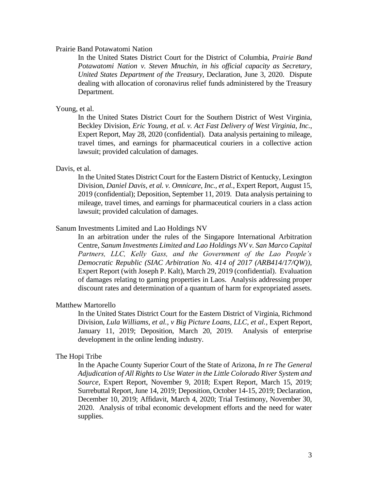### Prairie Band Potawatomi Nation

In the United States District Court for the District of Columbia, *Prairie Band Potawatomi Nation v. Steven Mnuchin, in his official capacity as Secretary, United States Department of the Treasury*, Declaration, June 3, 2020. Dispute dealing with allocation of coronavirus relief funds administered by the Treasury Department.

#### Young, et al.

In the United States District Court for the Southern District of West Virginia, Beckley Division, *Eric Young, et al. v. Act Fast Delivery of West Virginia, Inc.*, Expert Report, May 28, 2020 (confidential). Data analysis pertaining to mileage, travel times, and earnings for pharmaceutical couriers in a collective action lawsuit; provided calculation of damages.

#### Davis, et al.

In the United States District Court for the Eastern District of Kentucky, Lexington Division, *Daniel Davis, et al. v. Omnicare, Inc., et al.*, Expert Report, August 15, 2019 (confidential); Deposition, September 11, 2019. Data analysis pertaining to mileage, travel times, and earnings for pharmaceutical couriers in a class action lawsuit; provided calculation of damages.

## Sanum Investments Limited and Lao Holdings NV

In an arbitration under the rules of the Singapore International Arbitration Centre, *Sanum Investments Limited and Lao Holdings NV v. San Marco Capital Partners, LLC, Kelly Gass, and the Government of the Lao People's Democratic Republic (SIAC Arbitration No. 414 of 2017 (ARB414/17/QW))*, Expert Report (with Joseph P. Kalt), March 29, 2019 (confidential). Evaluation of damages relating to gaming properties in Laos. Analysis addressing proper discount rates and determination of a quantum of harm for expropriated assets.

#### Matthew Martorello

In the United States District Court for the Eastern District of Virginia, Richmond Division, *Lula Williams, et al., v Big Picture Loans, LLC, et al., Expert Report,* January 11, 2019; Deposition, March 20, 2019. Analysis of enterprise development in the online lending industry.

#### The Hopi Tribe

In the Apache County Superior Court of the State of Arizona, *In re The General Adjudication of All Rights to Use Water in the Little Colorado River System and Source,* Expert Report, November 9, 2018; Expert Report, March 15, 2019; Surrebuttal Report, June 14, 2019; Deposition, October 14-15, 2019; Declaration, December 10, 2019; Affidavit, March 4, 2020; Trial Testimony, November 30, 2020. Analysis of tribal economic development efforts and the need for water supplies.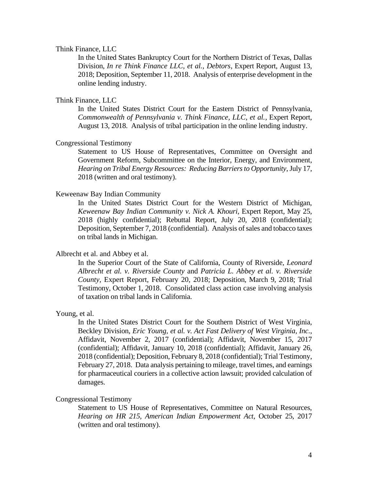#### Think Finance, LLC

In the United States Bankruptcy Court for the Northern District of Texas, Dallas Division, *In re Think Finance LLC, et al., Debtors,* Expert Report, August 13, 2018; Deposition, September 11, 2018. Analysis of enterprise development in the online lending industry.

## Think Finance, LLC

In the United States District Court for the Eastern District of Pennsylvania, *Commonwealth of Pennsylvania v. Think Finance, LLC, et al.,* Expert Report, August 13, 2018. Analysis of tribal participation in the online lending industry.

## Congressional Testimony

Statement to US House of Representatives, Committee on Oversight and Government Reform, Subcommittee on the Interior, Energy, and Environment, *Hearing on Tribal Energy Resources: Reducing Barriers to Opportunity*, July 17, 2018 (written and oral testimony).

#### Keweenaw Bay Indian Community

In the United States District Court for the Western District of Michigan, *Keweenaw Bay Indian Community v. Nick A. Khouri,* Expert Report, May 25, 2018 (highly confidential); Rebuttal Report, July 20, 2018 (confidential); Deposition, September 7, 2018 (confidential). Analysis of sales and tobacco taxes on tribal lands in Michigan.

#### Albrecht et al. and Abbey et al.

In the Superior Court of the State of California, County of Riverside, *Leonard Albrecht et al. v. Riverside County* and *Patricia L. Abbey et al. v. Riverside County,* Expert Report, February 20, 2018; Deposition, March 9, 2018; Trial Testimony, October 1, 2018. Consolidated class action case involving analysis of taxation on tribal lands in California.

#### Young, et al.

In the United States District Court for the Southern District of West Virginia, Beckley Division, *Eric Young, et al. v. Act Fast Delivery of West Virginia, Inc.*, Affidavit, November 2, 2017 (confidential); Affidavit, November 15, 2017 (confidential); Affidavit, January 10, 2018 (confidential); Affidavit, January 26, 2018 (confidential); Deposition, February 8, 2018 (confidential); Trial Testimony, February 27, 2018. Data analysis pertaining to mileage, travel times, and earnings for pharmaceutical couriers in a collective action lawsuit; provided calculation of damages.

#### Congressional Testimony

Statement to US House of Representatives, Committee on Natural Resources, *Hearing on HR 215, American Indian Empowerment Act*, October 25, 2017 (written and oral testimony).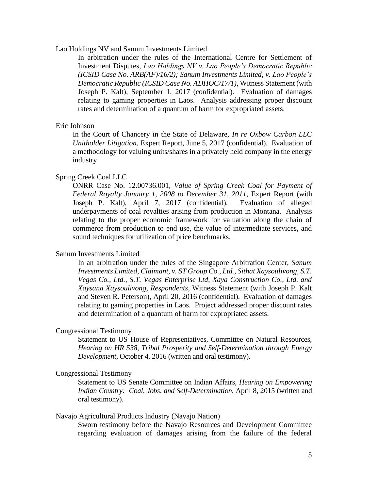# Lao Holdings NV and Sanum Investments Limited

In arbitration under the rules of the International Centre for Settlement of Investment Disputes, *Lao Holdings NV v. Lao People's Democratic Republic (ICSID Case No. ARB(AF)/16/2); Sanum Investments Limited, v. Lao People's Democratic Republic (ICSID Case No. ADHOC/17/1)*, Witness Statement (with Joseph P. Kalt), September 1, 2017 (confidential). Evaluation of damages relating to gaming properties in Laos. Analysis addressing proper discount rates and determination of a quantum of harm for expropriated assets.

### Eric Johnson

In the Court of Chancery in the State of Delaware, *In re Oxbow Carbon LLC Unitholder Litigation*, Expert Report, June 5, 2017 (confidential). Evaluation of a methodology for valuing units/shares in a privately held company in the energy industry.

# Spring Creek Coal LLC

ONRR Case No. 12.00736.001, *Value of Spring Creek Coal for Payment of Federal Royalty January 1, 2008 to December 31, 2011*, Expert Report (with Joseph P. Kalt), April 7, 2017 (confidential). Evaluation of alleged underpayments of coal royalties arising from production in Montana. Analysis relating to the proper economic framework for valuation along the chain of commerce from production to end use, the value of intermediate services, and sound techniques for utilization of price benchmarks.

#### Sanum Investments Limited

In an arbitration under the rules of the Singapore Arbitration Center, *Sanum Investments Limited, Claimant, v. ST Group Co., Ltd., Sithat Xaysoulivong, S.T. Vegas Co., Ltd., S.T. Vegas Enterprise Ltd, Xaya Construction Co., Ltd. and Xaysana Xaysoulivong, Respondents*, Witness Statement (with Joseph P. Kalt and Steven R. Peterson), April 20, 2016 (confidential). Evaluation of damages relating to gaming properties in Laos. Project addressed proper discount rates and determination of a quantum of harm for expropriated assets.

#### Congressional Testimony

Statement to US House of Representatives, Committee on Natural Resources, *Hearing on HR 538, Tribal Prosperity and Self-Determination through Energy Development*, October 4, 2016 (written and oral testimony).

#### Congressional Testimony

Statement to US Senate Committee on Indian Affairs, *Hearing on Empowering Indian Country: Coal, Jobs, and Self-Determination*, April 8, 2015 (written and oral testimony).

### Navajo Agricultural Products Industry (Navajo Nation)

Sworn testimony before the Navajo Resources and Development Committee regarding evaluation of damages arising from the failure of the federal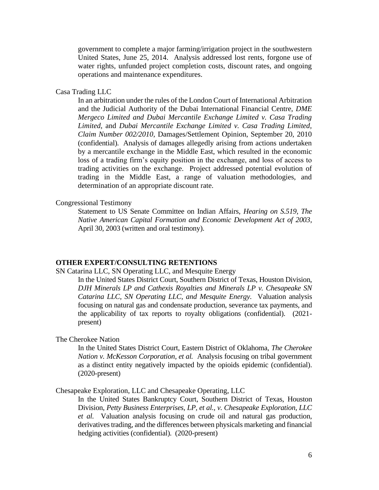government to complete a major farming/irrigation project in the southwestern United States, June 25, 2014. Analysis addressed lost rents, forgone use of water rights, unfunded project completion costs, discount rates, and ongoing operations and maintenance expenditures.

#### Casa Trading LLC

In an arbitration under the rules of the London Court of International Arbitration and the Judicial Authority of the Dubai International Financial Centre, *DME Mergeco Limited and Dubai Mercantile Exchange Limited v. Casa Trading Limited*, and *Dubai Mercantile Exchange Limited v. Casa Trading Limited, Claim Number 002/2010*, Damages/Settlement Opinion, September 20, 2010 (confidential). Analysis of damages allegedly arising from actions undertaken by a mercantile exchange in the Middle East, which resulted in the economic loss of a trading firm's equity position in the exchange, and loss of access to trading activities on the exchange. Project addressed potential evolution of trading in the Middle East, a range of valuation methodologies, and determination of an appropriate discount rate.

#### Congressional Testimony

Statement to US Senate Committee on Indian Affairs, *Hearing on S.519, The Native American Capital Formation and Economic Development Act of 2003*, April 30, 2003 (written and oral testimony).

## **OTHER EXPERT/CONSULTING RETENTIONS**

SN Catarina LLC, SN Operating LLC, and Mesquite Energy

In the United States District Court, Southern District of Texas, Houston Division, *DJH Minerals LP and Cathexis Royalties and Minerals LP v. Chesapeake SN Catarina LLC, SN Operating LLC, and Mesquite Energy.* Valuation analysis focusing on natural gas and condensate production, severance tax payments, and the applicability of tax reports to royalty obligations (confidential). (2021 present)

The Cherokee Nation

In the United States District Court, Eastern District of Oklahoma, *The Cherokee Nation v. McKesson Corporation, et al.* Analysis focusing on tribal government as a distinct entity negatively impacted by the opioids epidemic (confidential). (2020-present)

Chesapeake Exploration, LLC and Chesapeake Operating, LLC

In the United States Bankruptcy Court, Southern District of Texas, Houston Division, *Petty Business Enterprises, LP, et al., v. Chesapeake Exploration, LLC et al.* Valuation analysis focusing on crude oil and natural gas production, derivatives trading, and the differences between physicals marketing and financial hedging activities (confidential). (2020-present)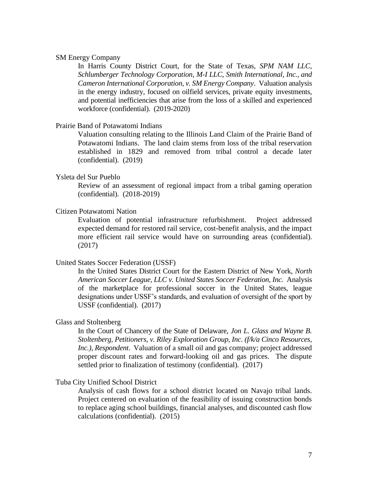## SM Energy Company

In Harris County District Court, for the State of Texas, *SPM NAM LLC, Schlumberger Technology Corporation, M-I LLC, Smith International, Inc., and Cameron International Corporation, v. SM Energy Company*. Valuation analysis in the energy industry, focused on oilfield services, private equity investments, and potential inefficiencies that arise from the loss of a skilled and experienced workforce (confidential). (2019-2020)

#### Prairie Band of Potawatomi Indians

Valuation consulting relating to the Illinois Land Claim of the Prairie Band of Potawatomi Indians. The land claim stems from loss of the tribal reservation established in 1829 and removed from tribal control a decade later (confidential). (2019)

# Ysleta del Sur Pueblo

Review of an assessment of regional impact from a tribal gaming operation (confidential). (2018-2019)

## Citizen Potawatomi Nation

Evaluation of potential infrastructure refurbishment. Project addressed expected demand for restored rail service, cost-benefit analysis, and the impact more efficient rail service would have on surrounding areas (confidential). (2017)

#### United States Soccer Federation (USSF)

In the United States District Court for the Eastern District of New York, *North American Soccer League, LLC v. United States Soccer Federation, Inc.* Analysis of the marketplace for professional soccer in the United States, league designations under USSF's standards, and evaluation of oversight of the sport by USSF (confidential). (2017)

#### Glass and Stoltenberg

In the Court of Chancery of the State of Delaware, *Jon L. Glass and Wayne B. Stoltenberg, Petitioners, v. Riley Exploration Group, Inc. (f/k/a Cinco Resources, Inc.), Respondent*. Valuation of a small oil and gas company; project addressed proper discount rates and forward-looking oil and gas prices. The dispute settled prior to finalization of testimony (confidential). (2017)

#### Tuba City Unified School District

Analysis of cash flows for a school district located on Navajo tribal lands. Project centered on evaluation of the feasibility of issuing construction bonds to replace aging school buildings, financial analyses, and discounted cash flow calculations (confidential). (2015)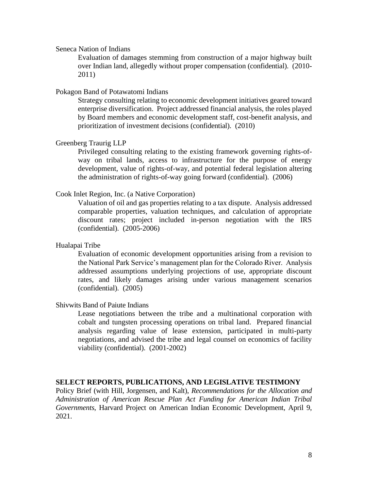#### Seneca Nation of Indians

Evaluation of damages stemming from construction of a major highway built over Indian land, allegedly without proper compensation (confidential). (2010- 2011)

## Pokagon Band of Potawatomi Indians

Strategy consulting relating to economic development initiatives geared toward enterprise diversification. Project addressed financial analysis, the roles played by Board members and economic development staff, cost-benefit analysis, and prioritization of investment decisions (confidential). (2010)

## Greenberg Traurig LLP

Privileged consulting relating to the existing framework governing rights-ofway on tribal lands, access to infrastructure for the purpose of energy development, value of rights-of-way, and potential federal legislation altering the administration of rights-of-way going forward (confidential). (2006)

### Cook Inlet Region, Inc. (a Native Corporation)

Valuation of oil and gas properties relating to a tax dispute. Analysis addressed comparable properties, valuation techniques, and calculation of appropriate discount rates; project included in-person negotiation with the IRS (confidential). (2005-2006)

#### Hualapai Tribe

Evaluation of economic development opportunities arising from a revision to the National Park Service's management plan for the Colorado River. Analysis addressed assumptions underlying projections of use, appropriate discount rates, and likely damages arising under various management scenarios (confidential). (2005)

Shivwits Band of Paiute Indians

Lease negotiations between the tribe and a multinational corporation with cobalt and tungsten processing operations on tribal land. Prepared financial analysis regarding value of lease extension, participated in multi-party negotiations, and advised the tribe and legal counsel on economics of facility viability (confidential). (2001-2002)

## **SELECT REPORTS, PUBLICATIONS, AND LEGISLATIVE TESTIMONY**

Policy Brief (with Hill, Jorgensen, and Kalt), *Recommendations for the Allocation and Administration of American Rescue Plan Act Funding for American Indian Tribal Governments*, Harvard Project on American Indian Economic Development, April 9, 2021.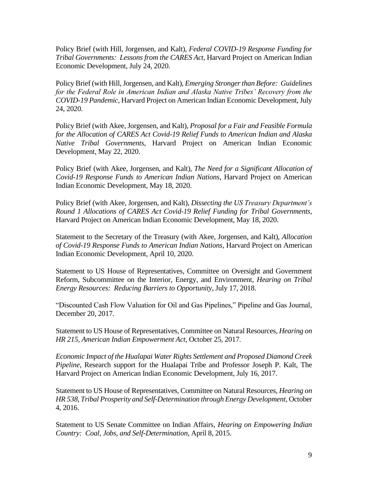Policy Brief (with Hill, Jorgensen, and Kalt), *Federal COVID-19 Response Funding for Tribal Governments: Lessons from the CARES Act*, Harvard Project on American Indian Economic Development, July 24, 2020.

Policy Brief (with Hill, Jorgensen, and Kalt), *Emerging Stronger than Before: Guidelines for the Federal Role in American Indian and Alaska Native Tribes' Recovery from the COVID-19 Pandemic*, Harvard Project on American Indian Economic Development, July 24, 2020.

Policy Brief (with Akee, Jorgensen, and Kalt), *Proposal for a Fair and Feasible Formula for the Allocation of CARES Act Covid-19 Relief Funds to American Indian and Alaska Native Tribal Governments*, Harvard Project on American Indian Economic Development, May 22, 2020.

Policy Brief (with Akee, Jorgensen, and Kalt), *The Need for a Significant Allocation of Covid-19 Response Funds to American Indian Nations*, Harvard Project on American Indian Economic Development, May 18, 2020.

Policy Brief (with Akee, Jorgensen, and Kalt), *Dissecting the US Treasury Department's Round 1 Allocations of CARES Act Covid-19 Relief Funding for Tribal Governments*, Harvard Project on American Indian Economic Development, May 18, 2020.

Statement to the Secretary of the Treasury (with Akee, Jorgensen, and Kalt), *Allocation of Covid-19 Response Funds to American Indian Nations*, Harvard Project on American Indian Economic Development, April 10, 2020.

Statement to US House of Representatives, Committee on Oversight and Government Reform, Subcommittee on the Interior, Energy, and Environment, *Hearing on Tribal Energy Resources: Reducing Barriers to Opportunity*, July 17, 2018.

"Discounted Cash Flow Valuation for Oil and Gas Pipelines," Pipeline and Gas Journal, December 20, 2017.

Statement to US House of Representatives, Committee on Natural Resources, *Hearing on HR 215, American Indian Empowerment Act*, October 25, 2017.

*Economic Impact of the Hualapai Water Rights Settlement and Proposed Diamond Creek Pipeline,* Research support for the Hualapai Tribe and Professor Joseph P. Kalt, The Harvard Project on American Indian Economic Development, July 16, 2017.

Statement to US House of Representatives, Committee on Natural Resources, *Hearing on HR 538, Tribal Prosperity and Self-Determination through Energy Development*, October 4, 2016.

Statement to US Senate Committee on Indian Affairs, *Hearing on Empowering Indian Country: Coal, Jobs, and Self-Determination*, April 8, 2015.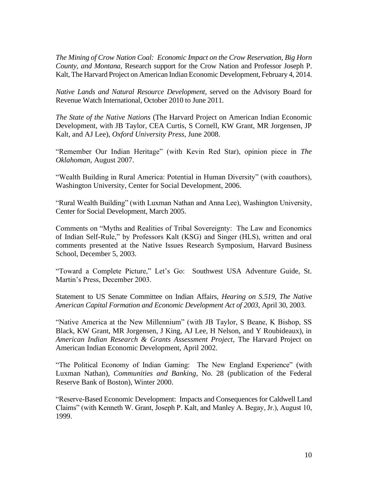*The Mining of Crow Nation Coal: Economic Impact on the Crow Reservation, Big Horn County, and Montana,* Research support for the Crow Nation and Professor Joseph P. Kalt, The Harvard Project on American Indian Economic Development, February 4, 2014.

*Native Lands and Natural Resource Development*, served on the Advisory Board for Revenue Watch International, October 2010 to June 2011.

*The State of the Native Nations* (The Harvard Project on American Indian Economic Development, with JB Taylor, CEA Curtis, S Cornell, KW Grant, MR Jorgensen, JP Kalt, and AJ Lee), *Oxford University Press*, June 2008.

"Remember Our Indian Heritage" (with Kevin Red Star), opinion piece in *The Oklahoman*, August 2007.

"Wealth Building in Rural America: Potential in Human Diversity" (with coauthors), Washington University, Center for Social Development, 2006.

"Rural Wealth Building" (with Luxman Nathan and Anna Lee), Washington University, Center for Social Development, March 2005.

Comments on "Myths and Realities of Tribal Sovereignty: The Law and Economics of Indian Self-Rule," by Professors Kalt (KSG) and Singer (HLS), written and oral comments presented at the Native Issues Research Symposium, Harvard Business School, December 5, 2003.

"Toward a Complete Picture," Let's Go: Southwest USA Adventure Guide, St. Martin's Press, December 2003.

Statement to US Senate Committee on Indian Affairs, *Hearing on S.519, The Native American Capital Formation and Economic Development Act of 2003*, April 30, 2003.

"Native America at the New Millennium" (with JB Taylor, S Beane, K Bishop, SS Black, KW Grant, MR Jorgensen, J King, AJ Lee, H Nelson, and Y Roubideaux), in *American Indian Research & Grants Assessment Project,* The Harvard Project on American Indian Economic Development, April 2002.

"The Political Economy of Indian Gaming: The New England Experience" (with Luxman Nathan)*, Communities and Banking*, No. 28 (publication of the Federal Reserve Bank of Boston), Winter 2000.

"Reserve-Based Economic Development: Impacts and Consequences for Caldwell Land Claims" (with Kenneth W. Grant, Joseph P. Kalt, and Manley A. Begay, Jr.), August 10, 1999.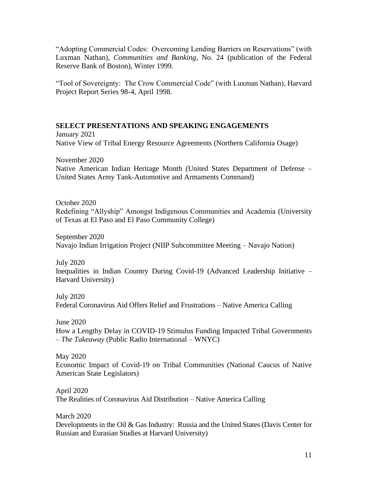"Adopting Commercial Codes: Overcoming Lending Barriers on Reservations" (with Luxman Nathan)*, Communities and Banking*, No. 24 (publication of the Federal Reserve Bank of Boston), Winter 1999.

"Tool of Sovereignty: The Crow Commercial Code" (with Luxman Nathan), Harvard Project Report Series 98-4, April 1998.

# **SELECT PRESENTATIONS AND SPEAKING ENGAGEMENTS**

January 2021 Native View of Tribal Energy Resource Agreements (Northern California Osage)

November 2020 Native American Indian Heritage Month (United States Department of Defense – United States Army Tank-Automotive and Armaments Command)

October 2020 Redefining "Allyship" Amongst Indigenous Communities and Academia (University of Texas at El Paso and El Paso Community College)

September 2020 Navajo Indian Irrigation Project (NIIP Subcommittee Meeting – Navajo Nation)

July 2020 Inequalities in Indian Country During Covid-19 (Advanced Leadership Initiative – Harvard University)

July 2020 Federal Coronavirus Aid Offers Relief and Frustrations – Native America Calling

June 2020 How a Lengthy Delay in COVID-19 Stimulus Funding Impacted Tribal Governments – *The Takeaway* (Public Radio International – WNYC)

May 2020 Economic Impact of Covid-19 on Tribal Communities (National Caucus of Native American State Legislators)

April 2020 The Realities of Coronavirus Aid Distribution – Native America Calling

March 2020 Developments in the Oil & Gas Industry: Russia and the United States (Davis Center for Russian and Eurasian Studies at Harvard University)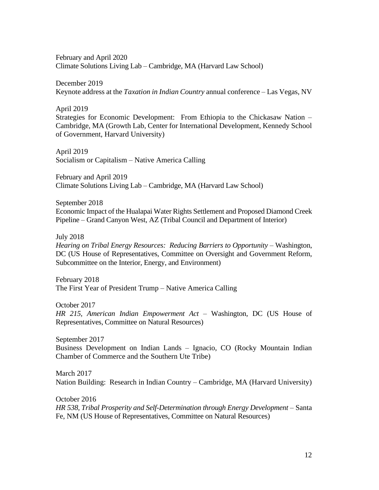February and April 2020 Climate Solutions Living Lab – Cambridge, MA (Harvard Law School)

December 2019 Keynote address at the *Taxation in Indian Country* annual conference – Las Vegas, NV

April 2019 Strategies for Economic Development: From Ethiopia to the Chickasaw Nation – Cambridge, MA (Growth Lab, Center for International Development, Kennedy School of Government, Harvard University)

April 2019 Socialism or Capitalism – Native America Calling

February and April 2019 Climate Solutions Living Lab – Cambridge, MA (Harvard Law School)

September 2018

Economic Impact of the Hualapai Water Rights Settlement and Proposed Diamond Creek Pipeline – Grand Canyon West, AZ (Tribal Council and Department of Interior)

July 2018

*Hearing on Tribal Energy Resources: Reducing Barriers to Opportunity* – Washington, DC (US House of Representatives, Committee on Oversight and Government Reform, Subcommittee on the Interior, Energy, and Environment)

February 2018 The First Year of President Trump – Native America Calling

October 2017 *HR 215, American Indian Empowerment Act* – Washington, DC (US House of Representatives, Committee on Natural Resources)

September 2017 Business Development on Indian Lands – Ignacio, CO (Rocky Mountain Indian Chamber of Commerce and the Southern Ute Tribe)

March 2017 Nation Building: Research in Indian Country – Cambridge, MA (Harvard University)

October 2016 *HR 538, Tribal Prosperity and Self-Determination through Energy Development* – Santa Fe, NM (US House of Representatives, Committee on Natural Resources)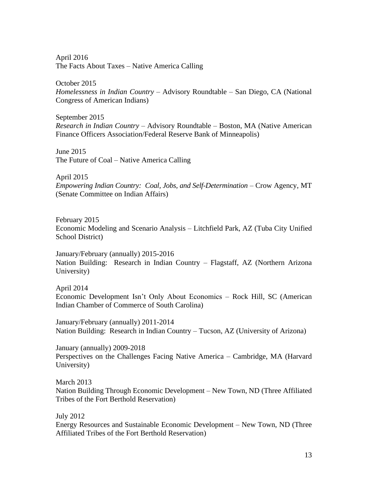April 2016 The Facts About Taxes – Native America Calling

October 2015 *Homelessness in Indian Country* – Advisory Roundtable – San Diego, CA (National Congress of American Indians)

September 2015 *Research in Indian Country* – Advisory Roundtable – Boston, MA (Native American Finance Officers Association/Federal Reserve Bank of Minneapolis)

June 2015 The Future of Coal – Native America Calling

April 2015 *Empowering Indian Country: Coal, Jobs, and Self-Determination* – Crow Agency, MT (Senate Committee on Indian Affairs)

February 2015 Economic Modeling and Scenario Analysis – Litchfield Park, AZ (Tuba City Unified School District)

January/February (annually) 2015-2016 Nation Building: Research in Indian Country – Flagstaff, AZ (Northern Arizona University)

April 2014 Economic Development Isn't Only About Economics – Rock Hill, SC (American Indian Chamber of Commerce of South Carolina)

January/February (annually) 2011-2014 Nation Building: Research in Indian Country – Tucson, AZ (University of Arizona)

January (annually) 2009-2018 Perspectives on the Challenges Facing Native America – Cambridge, MA (Harvard University)

March 2013 Nation Building Through Economic Development – New Town, ND (Three Affiliated Tribes of the Fort Berthold Reservation)

July 2012

Energy Resources and Sustainable Economic Development – New Town, ND (Three Affiliated Tribes of the Fort Berthold Reservation)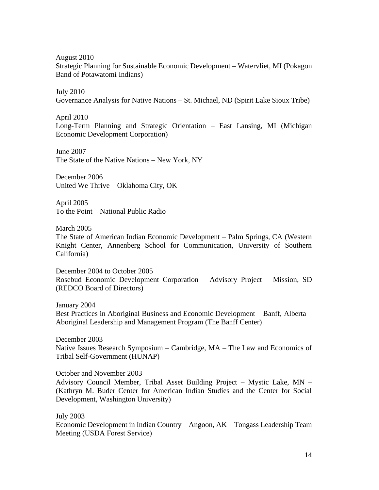August 2010

Strategic Planning for Sustainable Economic Development – Watervliet, MI (Pokagon Band of Potawatomi Indians)

July 2010 Governance Analysis for Native Nations – St. Michael, ND (Spirit Lake Sioux Tribe)

April 2010

Long-Term Planning and Strategic Orientation – East Lansing, MI (Michigan Economic Development Corporation)

June 2007 The State of the Native Nations – New York, NY

December 2006 United We Thrive – Oklahoma City, OK

April 2005 To the Point – National Public Radio

March 2005

The State of American Indian Economic Development – Palm Springs, CA (Western Knight Center, Annenberg School for Communication, University of Southern California)

December 2004 to October 2005 Rosebud Economic Development Corporation – Advisory Project – Mission, SD (REDCO Board of Directors)

January 2004 Best Practices in Aboriginal Business and Economic Development – Banff, Alberta – Aboriginal Leadership and Management Program (The Banff Center)

December 2003 Native Issues Research Symposium – Cambridge, MA – The Law and Economics of Tribal Self-Government (HUNAP)

October and November 2003

Advisory Council Member, Tribal Asset Building Project – Mystic Lake, MN – (Kathryn M. Buder Center for American Indian Studies and the Center for Social Development, Washington University)

July 2003

Economic Development in Indian Country – Angoon, AK – Tongass Leadership Team Meeting (USDA Forest Service)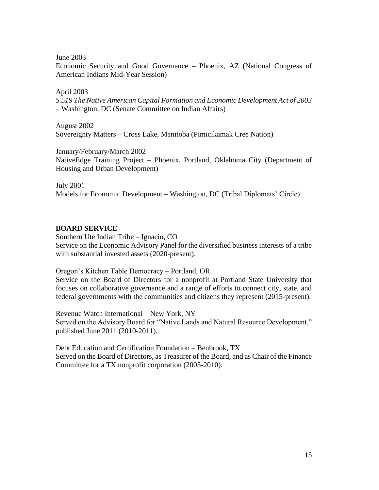June 2003

Economic Security and Good Governance – Phoenix, AZ (National Congress of American Indians Mid-Year Session)

## April 2003

*S.519 The Native American Capital Formation and Economic Development Act of 2003* – Washington, DC (Senate Committee on Indian Affairs)

August 2002 Sovereignty Matters – Cross Lake, Manitoba (Pimicikamak Cree Nation)

January/February/March 2002 NativeEdge Training Project – Phoenix, Portland, Oklahoma City (Department of Housing and Urban Development)

July 2001 Models for Economic Development – Washington, DC (Tribal Diplomats' Circle)

# **BOARD SERVICE**

Southern Ute Indian Tribe – Ignacio, CO Service on the Economic Advisory Panel for the diversified business interests of a tribe with substantial invested assets (2020-present).

Oregon's Kitchen Table Democracy – Portland, OR

Service on the Board of Directors for a nonprofit at Portland State University that focuses on collaborative governance and a range of efforts to connect city, state, and federal governments with the communities and citizens they represent (2015-present).

Revenue Watch International – New York, NY Served on the Advisory Board for "Native Lands and Natural Resource Development," published June 2011 (2010-2011).

Debt Education and Certification Foundation – Benbrook, TX Served on the Board of Directors, as Treasurer of the Board, and as Chair of the Finance Committee for a TX nonprofit corporation (2005-2010).